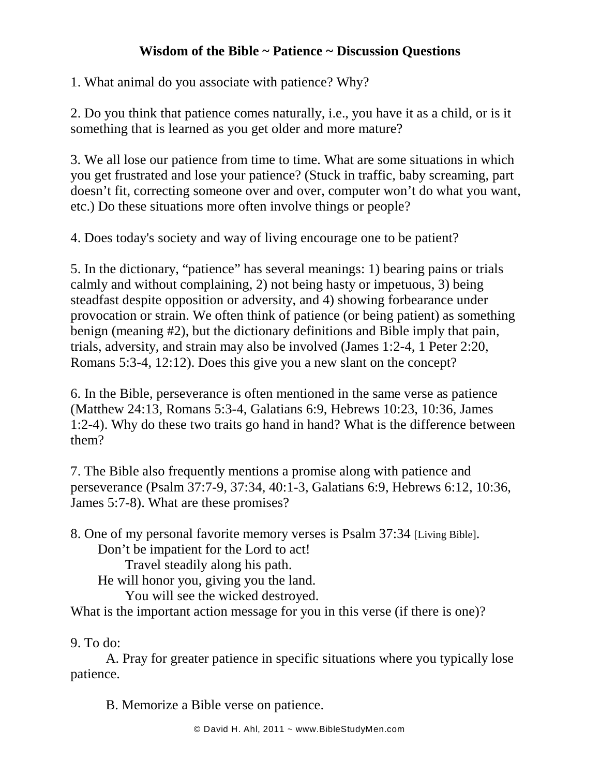## **Wisdom of the Bible ~ Patience ~ Discussion Questions**

1. What animal do you associate with patience? Why?

2. Do you think that patience comes naturally, i.e., you have it as a child, or is it something that is learned as you get older and more mature?

3. We all lose our patience from time to time. What are some situations in which you get frustrated and lose your patience? (Stuck in traffic, baby screaming, part doesn't fit, correcting someone over and over, computer won't do what you want, etc.) Do these situations more often involve things or people?

4. Does today's society and way of living encourage one to be patient?

5. In the dictionary, "patience" has several meanings: 1) bearing pains or trials calmly and without complaining, 2) not being hasty or impetuous, 3) being steadfast despite opposition or adversity, and 4) showing forbearance under provocation or strain. We often think of patience (or being patient) as something benign (meaning #2), but the dictionary definitions and Bible imply that pain, trials, adversity, and strain may also be involved (James 1:2-4, 1 Peter 2:20, Romans 5:3-4, 12:12). Does this give you a new slant on the concept?

6. In the Bible, perseverance is often mentioned in the same verse as patience (Matthew 24:13, Romans 5:3-4, Galatians 6:9, Hebrews 10:23, 10:36, James 1:2-4). Why do these two traits go hand in hand? What is the difference between them?

7. The Bible also frequently mentions a promise along with patience and perseverance (Psalm 37:7-9, 37:34, 40:1-3, Galatians 6:9, Hebrews 6:12, 10:36, James 5:7-8). What are these promises?

8. One of my personal favorite memory verses is Psalm 37:34 [Living Bible]. Don't be impatient for the Lord to act!

Travel steadily along his path.

He will honor you, giving you the land.

You will see the wicked destroyed.

What is the important action message for you in this verse (if there is one)?

9. To do:

A. Pray for greater patience in specific situations where you typically lose patience.

B. Memorize a Bible verse on patience.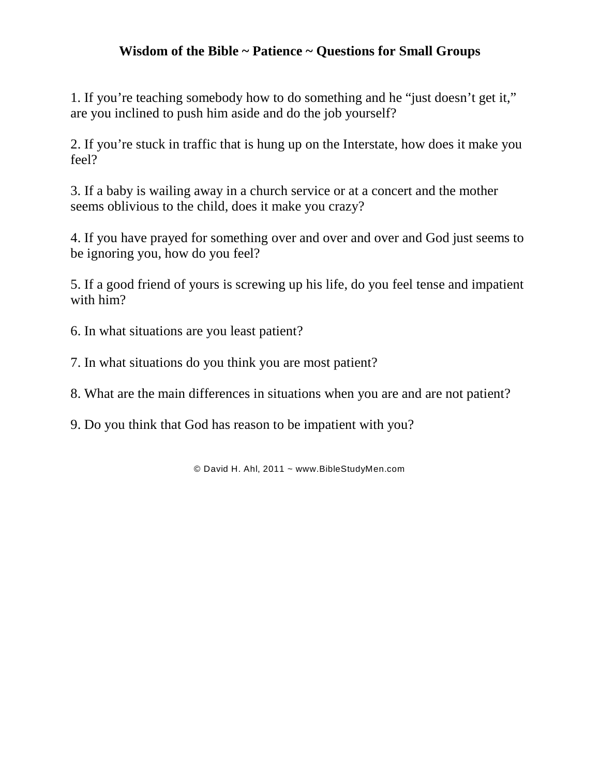## **Wisdom of the Bible ~ Patience ~ Questions for Small Groups**

1. If you're teaching somebody how to do something and he "just doesn't get it," are you inclined to push him aside and do the job yourself?

2. If you're stuck in traffic that is hung up on the Interstate, how does it make you feel?

3. If a baby is wailing away in a church service or at a concert and the mother seems oblivious to the child, does it make you crazy?

4. If you have prayed for something over and over and over and God just seems to be ignoring you, how do you feel?

5. If a good friend of yours is screwing up his life, do you feel tense and impatient with him?

- 6. In what situations are you least patient?
- 7. In what situations do you think you are most patient?

8. What are the main differences in situations when you are and are not patient?

9. Do you think that God has reason to be impatient with you?

© David H. Ahl, 2011 ~ www.BibleStudyMen.com